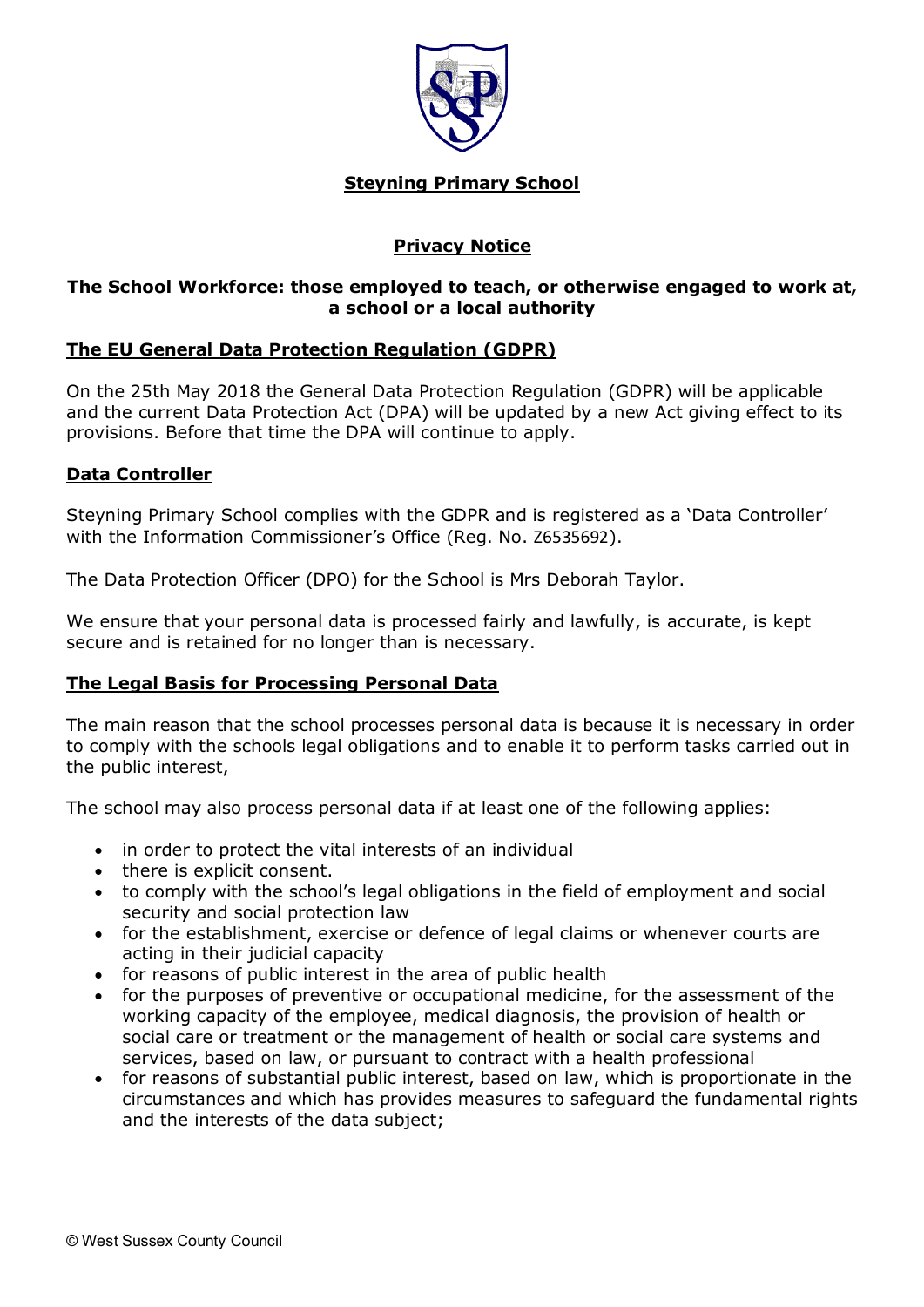

### **Steyning Primary School**

# **Privacy Notice**

## **The School Workforce: those employed to teach, or otherwise engaged to work at, a school or a local authority**

## **The EU General Data Protection Regulation (GDPR)**

On the 25th May 2018 the General Data Protection Regulation (GDPR) will be applicable and the current Data Protection Act (DPA) will be updated by a new Act giving effect to its provisions. Before that time the DPA will continue to apply.

## **Data Controller**

Steyning Primary School complies with the GDPR and is registered as a 'Data Controller' with the Information Commissioner's Office (Reg. No. Z6535692).

The Data Protection Officer (DPO) for the School is Mrs Deborah Taylor.

We ensure that your personal data is processed fairly and lawfully, is accurate, is kept secure and is retained for no longer than is necessary.

# **The Legal Basis for Processing Personal Data**

The main reason that the school processes personal data is because it is necessary in order to comply with the schools legal obligations and to enable it to perform tasks carried out in the public interest,

The school may also process personal data if at least one of the following applies:

- in order to protect the vital interests of an individual
- there is explicit consent.
- to comply with the school's legal obligations in the field of employment and social security and social protection law
- for the establishment, exercise or defence of legal claims or whenever courts are acting in their judicial capacity
- for reasons of public interest in the area of public health
- for the purposes of preventive or occupational medicine, for the assessment of the working capacity of the employee, medical diagnosis, the provision of health or social care or treatment or the management of health or social care systems and services, based on law, or pursuant to contract with a health professional
- for reasons of substantial public interest, based on law, which is proportionate in the circumstances and which has provides measures to safeguard the fundamental rights and the interests of the data subject;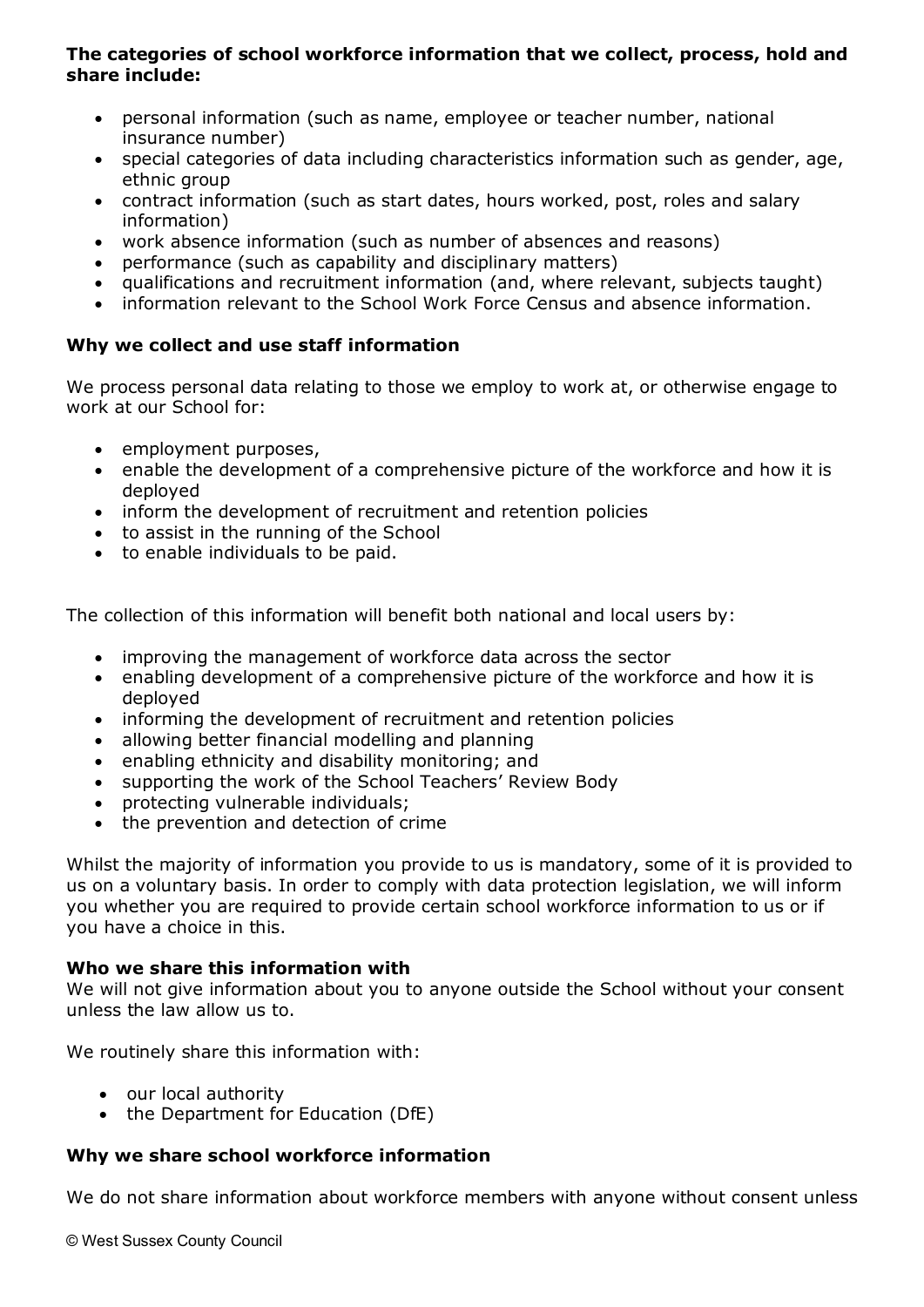## **The categories of school workforce information that we collect, process, hold and share include:**

- personal information (such as name, employee or teacher number, national insurance number)
- special categories of data including characteristics information such as gender, age, ethnic group
- contract information (such as start dates, hours worked, post, roles and salary information)
- work absence information (such as number of absences and reasons)
- performance (such as capability and disciplinary matters)
- qualifications and recruitment information (and, where relevant, subjects taught)
- information relevant to the School Work Force Census and absence information.

# **Why we collect and use staff information**

We process personal data relating to those we employ to work at, or otherwise engage to work at our School for:

- employment purposes,
- enable the development of a comprehensive picture of the workforce and how it is deployed
- inform the development of recruitment and retention policies
- to assist in the running of the School
- to enable individuals to be paid.

The collection of this information will benefit both national and local users by:

- improving the management of workforce data across the sector
- enabling development of a comprehensive picture of the workforce and how it is deployed
- informing the development of recruitment and retention policies
- allowing better financial modelling and planning
- enabling ethnicity and disability monitoring; and
- supporting the work of the School Teachers' Review Body
- protecting vulnerable individuals;
- the prevention and detection of crime

Whilst the majority of information you provide to us is mandatory, some of it is provided to us on a voluntary basis. In order to comply with data protection legislation, we will inform you whether you are required to provide certain school workforce information to us or if you have a choice in this.

# **Who we share this information with**

We will not give information about you to anyone outside the School without your consent unless the law allow us to.

We routinely share this information with:

- our local authority
- the Department for Education (DfE)

# **Why we share school workforce information**

We do not share information about workforce members with anyone without consent unless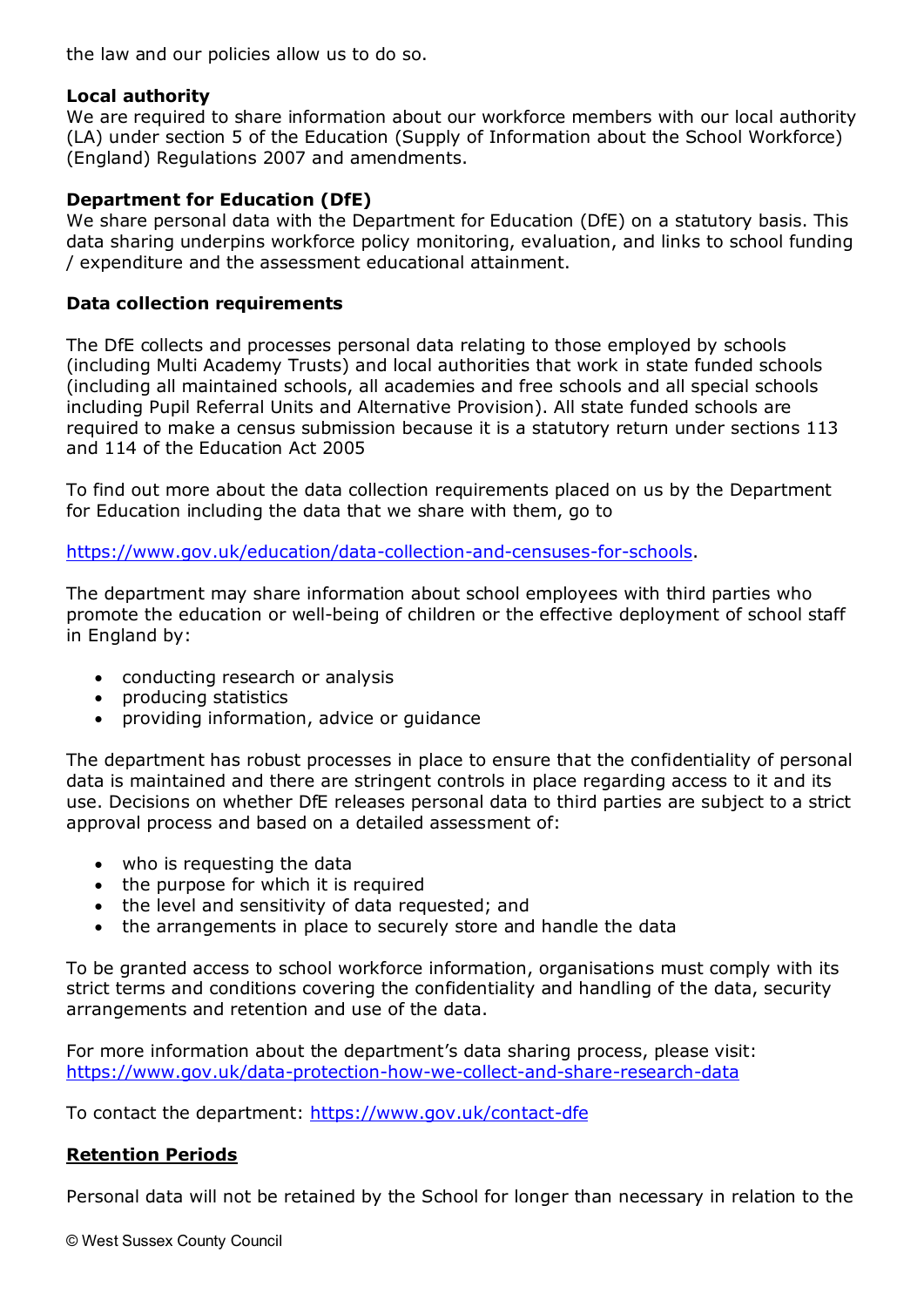the law and our policies allow us to do so.

#### **Local authority**

We are required to share information about our workforce members with our local authority (LA) under section 5 of the Education (Supply of Information about the School Workforce) (England) Regulations 2007 and amendments.

## **Department for Education (DfE)**

We share personal data with the Department for Education (DfE) on a statutory basis. This data sharing underpins workforce policy monitoring, evaluation, and links to school funding / expenditure and the assessment educational attainment.

#### **Data collection requirements**

The DfE collects and processes personal data relating to those employed by schools (including Multi Academy Trusts) and local authorities that work in state funded schools (including all maintained schools, all academies and free schools and all special schools including Pupil Referral Units and Alternative Provision). All state funded schools are required to make a census submission because it is a statutory return under sections 113 and 114 of the Education Act 2005

To find out more about the data collection requirements placed on us by the Department for Education including the data that we share with them, go to

[https://www.gov.uk/education/data-collection-and-censuses-for-schools.](https://www.gov.uk/education/data-collection-and-censuses-for-schools)

The department may share information about school employees with third parties who promote the education or well-being of children or the effective deployment of school staff in England by:

- conducting research or analysis
- producing statistics
- providing information, advice or guidance

The department has robust processes in place to ensure that the confidentiality of personal data is maintained and there are stringent controls in place regarding access to it and its use. Decisions on whether DfE releases personal data to third parties are subject to a strict approval process and based on a detailed assessment of:

- who is requesting the data
- the purpose for which it is required
- the level and sensitivity of data requested; and
- the arrangements in place to securely store and handle the data

To be granted access to school workforce information, organisations must comply with its strict terms and conditions covering the confidentiality and handling of the data, security arrangements and retention and use of the data.

For more information about the department's data sharing process, please visit: <https://www.gov.uk/data-protection-how-we-collect-and-share-research-data>

To contact the department:<https://www.gov.uk/contact-dfe>

# **Retention Periods**

Personal data will not be retained by the School for longer than necessary in relation to the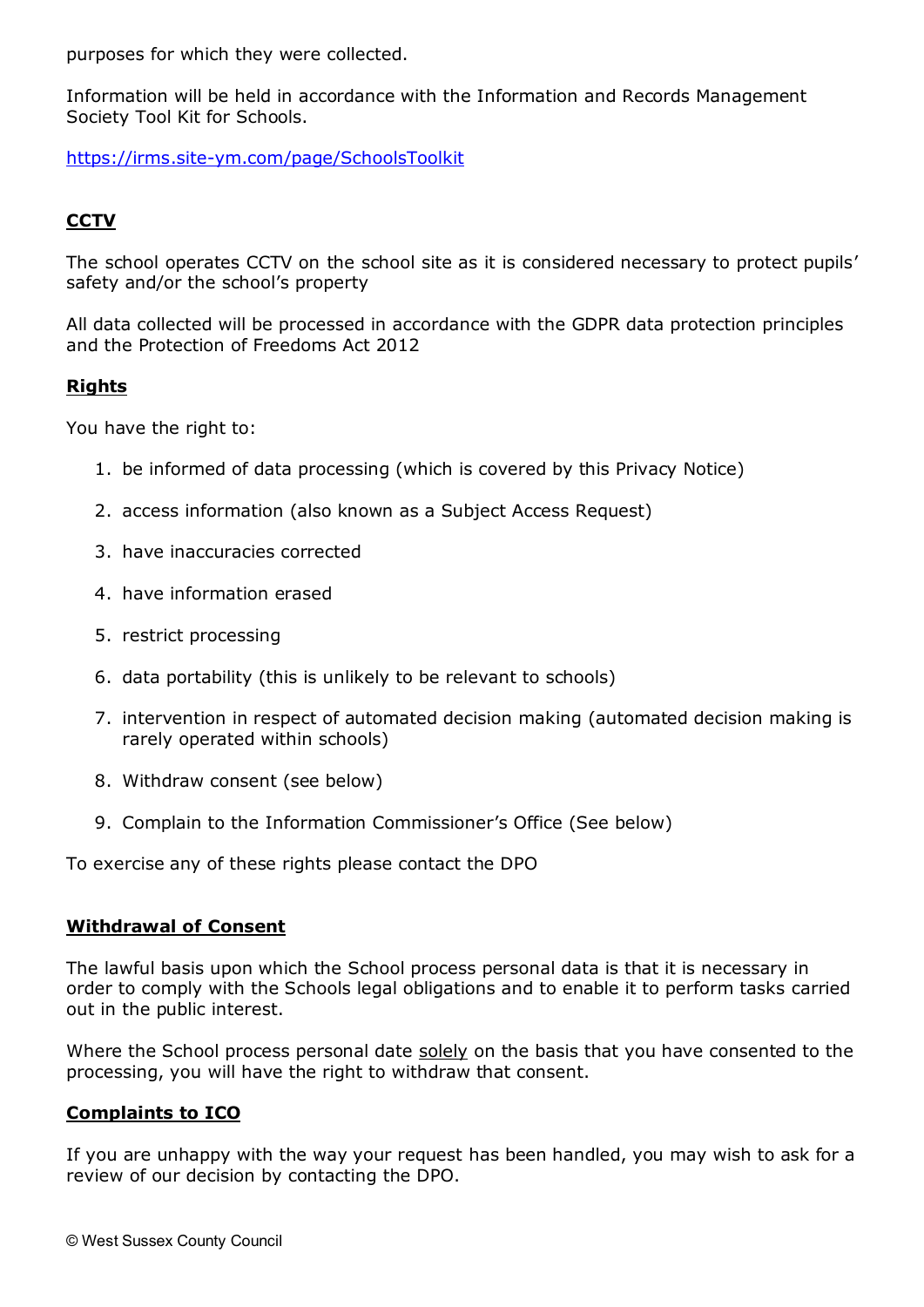purposes for which they were collected.

Information will be held in accordance with the Information and Records Management Society Tool Kit for Schools.

<https://irms.site-ym.com/page/SchoolsToolkit>

## **CCTV**

The school operates CCTV on the school site as it is considered necessary to protect pupils' safety and/or the school's property

All data collected will be processed in accordance with the GDPR data protection principles and the Protection of Freedoms Act 2012

#### **Rights**

You have the right to:

- 1. be informed of data processing (which is covered by this Privacy Notice)
- 2. access information (also known as a Subject Access Request)
- 3. have inaccuracies corrected
- 4. have information erased
- 5. restrict processing
- 6. data portability (this is unlikely to be relevant to schools)
- 7. intervention in respect of automated decision making (automated decision making is rarely operated within schools)
- 8. Withdraw consent (see below)
- 9. Complain to the Information Commissioner's Office (See below)

To exercise any of these rights please contact the DPO

#### **Withdrawal of Consent**

The lawful basis upon which the School process personal data is that it is necessary in order to comply with the Schools legal obligations and to enable it to perform tasks carried out in the public interest.

Where the School process personal date solely on the basis that you have consented to the processing, you will have the right to withdraw that consent.

#### **Complaints to ICO**

If you are unhappy with the way your request has been handled, you may wish to ask for a review of our decision by contacting the DPO.